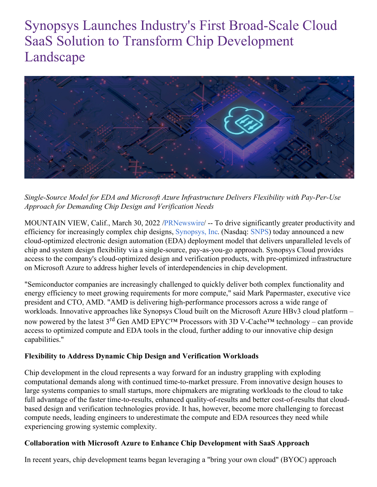# Synopsys Launches Industry's First Broad-Scale Cloud SaaS Solution to Transform Chip Development Landscape



*Single-Source Model for EDA and Microsoft Azure Infrastructure Delivers Flexibility with Pay-Per-Use Approach for Demanding Chip Design and Verification Needs*

MOUNTAIN VIEW, Calif., March 30, 2022 [/PRNewswire](http://www.prnewswire.com/)/ -- To drive significantly greater productivity and efficiency for increasingly complex chip designs, [Synopsys,](https://c212.net/c/link/?t=0&l=en&o=3488542-1&h=1651473269&u=https%3A%2F%2Fwww.synopsys.com%2F&a=Synopsys%2C+Inc) Inc. (Nasdaq: [SNPS](https://c212.net/c/link/?t=0&l=en&o=3488542-1&h=26892142&u=https%3A%2F%2Fwww.synopsys.com%2Fcompany%2Finvestor-relations.html&a=SNPS)) today announced a new cloud-optimized electronic design automation (EDA) deployment model that delivers unparalleled levels of chip and system design flexibility via a single-source, pay-as-you-go approach. Synopsys Cloud provides access to the company's cloud-optimized design and verification products, with pre-optimized infrastructure on Microsoft Azure to address higher levels of interdependencies in chip development.

"Semiconductor companies are increasingly challenged to quickly deliver both complex functionality and energy efficiency to meet growing requirements for more compute," said Mark Papermaster, executive vice president and CTO, AMD. "AMD is delivering high-performance processors across a wide range of workloads. Innovative approaches like Synopsys Cloud built on the Microsoft Azure HBv3 cloud platform – now powered by the latest 3<sup>rd</sup> Gen AMD EPYC<sup>TM</sup> Processors with 3D V-Cache<sup>TM</sup> technology – can provide access to optimized compute and EDA tools in the cloud, further adding to our innovative chip design capabilities."

#### **Flexibility to Address Dynamic Chip Design and Verification Workloads**

Chip development in the cloud represents a way forward for an industry grappling with exploding computational demands along with continued time-to-market pressure. From innovative design houses to large systems companies to small startups, more chipmakers are migrating workloads to the cloud to take full advantage of the faster time-to-results, enhanced quality-of-results and better cost-of-results that cloudbased design and verification technologies provide. It has, however, become more challenging to forecast compute needs, leading engineers to underestimate the compute and EDA resources they need while experiencing growing systemic complexity.

#### **Collaboration with Microsoft Azure to Enhance Chip Development with SaaS Approach**

In recent years, chip development teams began leveraging a "bring your own cloud" (BYOC) approach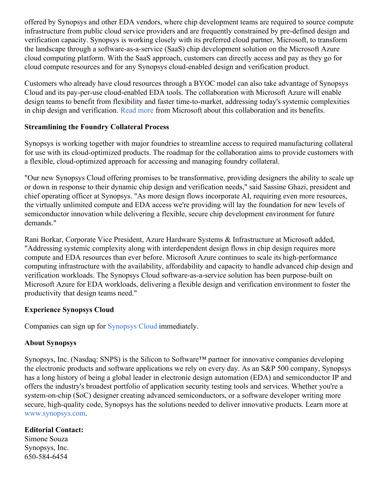offered by Synopsys and other EDA vendors, where chip development teams are required to source compute infrastructure from public cloud service providers and are frequently constrained by pre-defined design and verification capacity. Synopsys is working closely with its preferred cloud partner, Microsoft, to transform the landscape through a software-as-a-service (SaaS) chip development solution on the Microsoft Azure cloud computing platform. With the SaaS approach, customers can directly access and pay as they go for cloud compute resources and for any Synopsys cloud-enabled design and verification product.

Customers who already have cloud resources through a BYOC model can also take advantage of Synopsys Cloud and its pay-per-use cloud-enabled EDA tools. The collaboration with Microsoft Azure will enable design teams to benefit from flexibility and faster time-to-market, addressing today's systemic complexities in chip design and verification. [Read](https://c212.net/c/link/?t=0&l=en&o=3488542-1&h=824083799&u=https%3A%2F%2Fazure.microsoft.com%2Fen-us%2Fblog%2Faccelerate-silicon-design-innovation-on-azure-with-synopsys-cloud&a=Read+more) more from Microsoft about this collaboration and its benefits.

#### **Streamlining the Foundry Collateral Process**

Synopsys is working together with major foundries to streamline access to required manufacturing collateral for use with its cloud-optimized products. The roadmap for the collaboration aims to provide customers with a flexible, cloud-optimized approach for accessing and managing foundry collateral.

"Our new Synopsys Cloud offering promises to be transformative, providing designers the ability to scale up or down in response to their dynamic chip design and verification needs," said Sassine Ghazi, president and chief operating officer at Synopsys. "As more design flows incorporate AI, requiring even more resources, the virtually unlimited compute and EDA access we're providing will lay the foundation for new levels of semiconductor innovation while delivering a flexible, secure chip development environment for future demands."

Rani Borkar, Corporate Vice President, Azure Hardware Systems & Infrastructure at Microsoft added, "Addressing systemic complexity along with interdependent design flows in chip design requires more compute and EDA resources than ever before. Microsoft Azure continues to scale its high-performance computing infrastructure with the availability, affordability and capacity to handle advanced chip design and verification workloads. The Synopsys Cloud software-as-a-service solution has been purpose-built on Microsoft Azure for EDA workloads, delivering a flexible design and verification environment to foster the productivity that design teams need."

### **Experience Synopsys Cloud**

Companies can sign up for [Synopsys](https://c212.net/c/link/?t=0&l=en&o=3488542-1&h=798035843&u=https%3A%2F%2Fwww.synopsys.com%2Fcloud.html&a=Synopsys+Cloud) Cloud immediately.

## **About Synopsys**

Synopsys, Inc. (Nasdaq: SNPS) is the Silicon to Software™ partner for innovative companies developing the electronic products and software applications we rely on every day. As an S&P 500 company, Synopsys has a long history of being a global leader in electronic design automation (EDA) and semiconductor IP and offers the industry's broadest portfolio of application security testing tools and services. Whether you're a system-on-chip (SoC) designer creating advanced semiconductors, or a software developer writing more secure, high-quality code, Synopsys has the solutions needed to deliver innovative products. Learn more at [www.synopsys.com.](https://c212.net/c/link/?t=0&l=en&o=3488542-1&h=4084069267&u=http%3A%2F%2Fwww.synopsys.com%2F&a=www.synopsys.com)

## **Editorial Contact:**

Simone Souza Synopsys, Inc. 650-584-6454